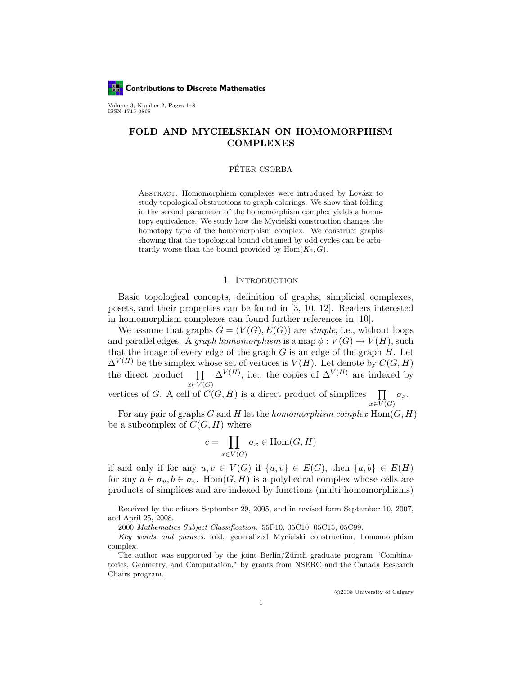

Volume 3, Number 2, Pages 1–8 ISSN 1715-0868

# FOLD AND MYCIELSKIAN ON HOMOMORPHISM COMPLEXES

### PÉTER CSORBA

ABSTRACT. Homomorphism complexes were introduced by Lovász to study topological obstructions to graph colorings. We show that folding in the second parameter of the homomorphism complex yields a homotopy equivalence. We study how the Mycielski construction changes the homotopy type of the homomorphism complex. We construct graphs showing that the topological bound obtained by odd cycles can be arbitrarily worse than the bound provided by  $Hom(K_2, G)$ .

# 1. INTRODUCTION

Basic topological concepts, definition of graphs, simplicial complexes, posets, and their properties can be found in [3, 10, 12]. Readers interested in homomorphism complexes can found further references in [10].

We assume that graphs  $G = (V(G), E(G))$  are simple, i.e., without loops and parallel edges. A *graph homomorphism* is a map  $\phi: V(G) \to V(H)$ , such that the image of every edge of the graph  $G$  is an edge of the graph  $H$ . Let  $\Delta^{V(H)}$  be the simplex whose set of vertices is  $V(H)$ . Let denote by  $C(G, H)$ the direct product  $\prod \Delta^{V(H)}$ , i.e., the copies of  $\Delta^{V(H)}$  are indexed by  $x\in V(G)$ 

vertices of G. A cell of  $C(G, H)$  is a direct product of simplices  $x\in V(G)$  $\prod \sigma_x$ .

For any pair of graphs G and H let the homomorphism complex  $\text{Hom}(G, H)$ be a subcomplex of  $C(G, H)$  where

$$
c = \prod_{x \in V(G)} \sigma_x \in \text{Hom}(G, H)
$$

if and only if for any  $u, v \in V(G)$  if  $\{u, v\} \in E(G)$ , then  $\{a, b\} \in E(H)$ for any  $a \in \sigma_u, b \in \sigma_v$ . Hom $(G, H)$  is a polyhedral complex whose cells are products of simplices and are indexed by functions (multi-homomorphisms)

Received by the editors September 29, 2005, and in revised form September 10, 2007, and April 25, 2008.

<sup>2000</sup> Mathematics Subject Classification. 55P10, 05C10, 05C15, 05C99.

Key words and phrases. fold, generalized Mycielski construction, homomorphism complex.

The author was supported by the joint Berlin/Zürich graduate program "Combinatorics, Geometry, and Computation," by grants from NSERC and the Canada Research Chairs program.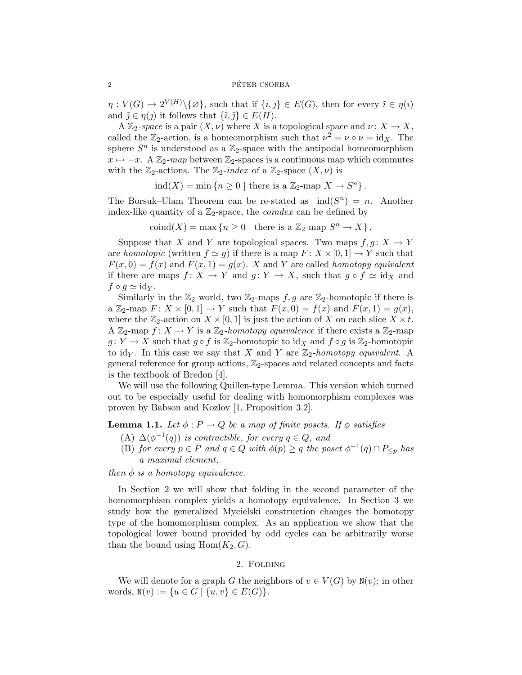$\eta: V(G) \to 2^{V(H)} \setminus {\{\varnothing\}},$  such that if  $\{i,j\} \in E(G)$ , then for every  $\tilde{i} \in \eta(i)$ and  $\tilde{j} \in \eta(j)$  it follows that  $\{\tilde{i}, \tilde{j}\} \in E(H)$ .

A  $\mathbb{Z}_2$ -space is a pair  $(X,\nu)$  where X is a topological space and  $\nu: X \to X$ , called the  $\mathbb{Z}_2$ -action, is a homeomorphism such that  $\nu^2 = \nu \circ \nu = id_X$ . The sphere  $S<sup>n</sup>$  is understood as a  $\mathbb{Z}_2$ -space with the antipodal homeomorphism  $x \mapsto -x$ . A  $\mathbb{Z}_2$ -map between  $\mathbb{Z}_2$ -spaces is a continuous map which commutes with the  $\mathbb{Z}_2$ -actions. The  $\mathbb{Z}_2$ -index of a  $\mathbb{Z}_2$ -space  $(X, \nu)$  is

 $\text{ind}(X) = \min \{ n \geq 0 \mid \text{there is a } \mathbb{Z}_2 \text{-map } X \to S^n \}.$ 

The Borsuk–Ulam Theorem can be re-stated as  $ind(S^n) = n$ . Another index-like quantity of a  $\mathbb{Z}_2$ -space, the *coindex* can be defined by

 $\text{coind}(X) = \max\left\{n \geq 0 \mid \text{there is a } \mathbb{Z}_2\text{-map } S^n \to X\right\}.$ 

Suppose that X and Y are topological spaces. Two maps  $f, g: X \to Y$ are homotopic (written  $f \simeq g$ ) if there is a map  $F: X \times [0, 1] \rightarrow Y$  such that  $F(x, 0) = f(x)$  and  $F(x, 1) = g(x)$ . X and Y are called *homotopy equivalent* if there are maps  $f: X \to Y$  and  $g: Y \to X$ , such that  $g \circ f \simeq id_X$  and  $f \circ q \simeq id_Y$ .

Similarly in the  $\mathbb{Z}_2$  world, two  $\mathbb{Z}_2$ -maps  $f, g$  are  $\mathbb{Z}_2$ -homotopic if there is a  $\mathbb{Z}_2$ -map  $F: X \times [0,1] \rightarrow Y$  such that  $F(x, 0) = f(x)$  and  $F(x, 1) = g(x)$ , where the  $\mathbb{Z}_2$ -action on  $X \times [0,1]$  is just the action of X on each slice  $X \times t$ . A  $\mathbb{Z}_2$ -map  $f: X \to Y$  is a  $\mathbb{Z}_2$ -homotopy equivalence if there exists a  $\mathbb{Z}_2$ -map  $g: Y \to X$  such that  $g \circ f$  is  $\mathbb{Z}_2$ -homotopic to  $\mathrm{id}_X$  and  $f \circ g$  is  $\mathbb{Z}_2$ -homotopic to idy. In this case we say that X and Y are  $\mathbb{Z}_2$ -homotopy equivalent. A general reference for group actions,  $\mathbb{Z}_2$ -spaces and related concepts and facts is the textbook of Bredon [4].

We will use the following Quillen-type Lemma. This version which turned out to be especially useful for dealing with homomorphism complexes was proven by Babson and Kozlov [1, Proposition 3.2].

**Lemma 1.1.** Let  $\phi: P \to Q$  be a map of finite posets. If  $\phi$  satisfies

- (A)  $\Delta(\phi^{-1}(q))$  is contractible, for every  $q \in Q$ , and
- (B) for every  $p \in P$  and  $q \in Q$  with  $\phi(p) \geq q$  the poset  $\phi^{-1}(q) \cap P_{\leq p}$  has a maximal element,

then  $\phi$  is a homotopy equivalence.

In Section 2 we will show that folding in the second parameter of the homomorphism complex yields a homotopy equivalence. In Section 3 we study how the generalized Mycielski construction changes the homotopy type of the homomorphism complex. As an application we show that the topological lower bound provided by odd cycles can be arbitrarily worse than the bound using  $\text{Hom}(K_2, G)$ .

## 2. Folding

We will denote for a graph G the neighbors of  $v \in V(G)$  by  $N(v)$ ; in other words,  $N(v) := \{u \in G \mid \{u, v\} \in E(G)\}.$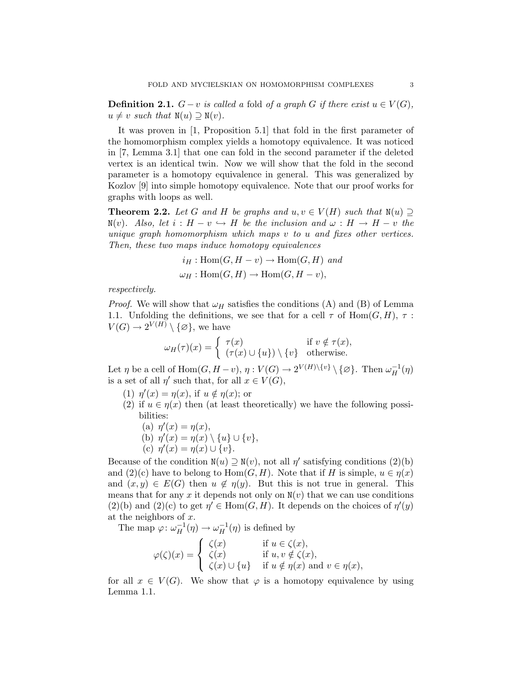**Definition 2.1.**  $G - v$  is called a fold of a graph G if there exist  $u \in V(G)$ ,  $u \neq v$  such that  $N(u) \supseteq N(v)$ .

It was proven in [1, Proposition 5.1] that fold in the first parameter of the homomorphism complex yields a homotopy equivalence. It was noticed in [7, Lemma 3.1] that one can fold in the second parameter if the deleted vertex is an identical twin. Now we will show that the fold in the second parameter is a homotopy equivalence in general. This was generalized by Kozlov [9] into simple homotopy equivalence. Note that our proof works for graphs with loops as well.

**Theorem 2.2.** Let G and H be graphs and  $u, v \in V(H)$  such that  $N(u) \supseteq$  $\mathbb{N}(v)$ . Also, let  $i : H - v \hookrightarrow H$  be the inclusion and  $\omega : H \to H - v$  the unique graph homomorphism which maps v to u and fixes other vertices. Then, these two maps induce homotopy equivalences

$$
i_H: \text{Hom}(G, H - v) \to \text{Hom}(G, H) \text{ and}
$$
  

$$
\omega_H: \text{Hom}(G, H) \to \text{Hom}(G, H - v),
$$

respectively.

*Proof.* We will show that  $\omega_H$  satisfies the conditions (A) and (B) of Lemma 1.1. Unfolding the definitions, we see that for a cell  $\tau$  of Hom $(G, H)$ ,  $\tau$ :  $V(G) \to 2^{V(H)} \setminus {\{\varnothing\}},$  we have

$$
\omega_H(\tau)(x) = \begin{cases} \tau(x) & \text{if } v \notin \tau(x), \\ (\tau(x) \cup \{u\}) \setminus \{v\} & \text{otherwise.} \end{cases}
$$

Let  $\eta$  be a cell of  $\text{Hom}(G, H - v)$ ,  $\eta: V(G) \to 2^{V(H)\setminus \{v\}} \setminus \{\varnothing\}$ . Then  $\omega_H^{-1}(\eta)$ is a set of all  $\eta'$  such that, for all  $x \in V(G)$ ,

- (1)  $\eta'(x) = \eta(x)$ , if  $u \notin \eta(x)$ ; or
- (2) if  $u \in \eta(x)$  then (at least theoretically) we have the following possibilities:
	- (a)  $\eta'(x) = \eta(x)$ ,
	- (b)  $\eta'(x) = \eta(x) \setminus \{u\} \cup \{v\},\$ (c)  $\eta'(x) = \eta(x) \cup \{v\}.$

Because of the condition  $N(u) \supseteq N(v)$ , not all  $\eta'$  satisfying conditions (2)(b) and  $(2)(c)$  have to belong to  $Hom(G, H)$ . Note that if H is simple,  $u \in \eta(x)$ and  $(x, y) \in E(G)$  then  $u \notin \eta(y)$ . But this is not true in general. This means that for any x it depends not only on  $N(v)$  that we can use conditions  $(2)(b)$  and  $(2)(c)$  to get  $\eta' \in \text{Hom}(G, H)$ . It depends on the choices of  $\eta'(y)$ at the neighbors of  $x$ .

The map  $\varphi: \omega_H^{-1}(\eta) \to \omega_H^{-1}(\eta)$  is defined by

$$
\varphi(\zeta)(x) = \begin{cases} \zeta(x) & \text{if } u \in \zeta(x), \\ \zeta(x) & \text{if } u, v \notin \zeta(x), \\ \zeta(x) \cup \{u\} & \text{if } u \notin \eta(x) \text{ and } v \in \eta(x), \end{cases}
$$

for all  $x \in V(G)$ . We show that  $\varphi$  is a homotopy equivalence by using Lemma 1.1.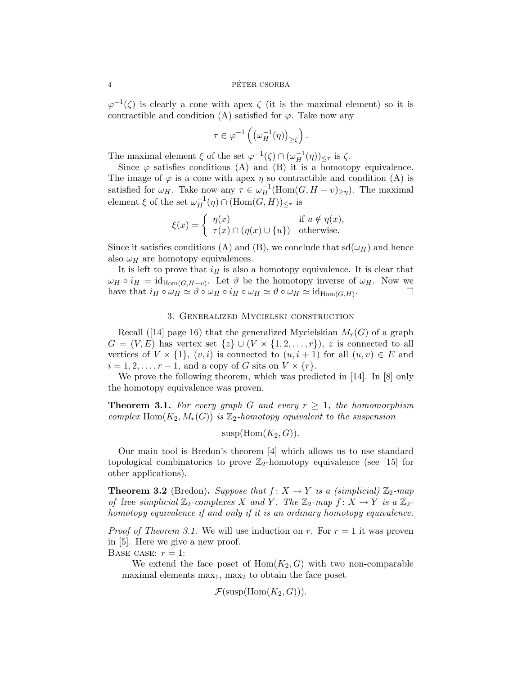### 4 PETER CSORBA ´

 $\varphi^{-1}(\zeta)$  is clearly a cone with apex  $\zeta$  (it is the maximal element) so it is contractible and condition (A) satisfied for  $\varphi$ . Take now any

$$
\tau \in \varphi^{-1}\left(\left(\omega_H^{-1}(\eta)\right)_{\geq \zeta}\right).
$$

The maximal element  $\xi$  of the set  $\varphi^{-1}(\zeta) \cap (\omega_H^{-1}(\eta))_{\leq \tau}$  is  $\zeta$ .

Since  $\varphi$  satisfies conditions (A) and (B) it is a homotopy equivalence. The image of  $\varphi$  is a cone with apex  $\eta$  so contractible and condition (A) is satisfied for  $\omega_H$ . Take now any  $\tau \in \omega_H^{-1}(\text{Hom}(G, H - v)_{\geq \eta})$ . The maximal element  $\xi$  of the set  $\omega_H^{-1}(\eta) \cap (\text{Hom}(G,H))_{\leq \tau}$  is

$$
\xi(x) = \begin{cases} \eta(x) & \text{if } u \notin \eta(x), \\ \tau(x) \cap (\eta(x) \cup \{u\}) & \text{otherwise.} \end{cases}
$$

Since it satisfies conditions (A) and (B), we conclude that  $sd(\omega_H)$  and hence also  $\omega_H$  are homotopy equivalences.

It is left to prove that  $i_H$  is also a homotopy equivalence. It is clear that  $\omega_H \circ i_H = \mathrm{id}_{\mathrm{Hom}(G,H-v)}$ . Let  $\vartheta$  be the homotopy inverse of  $\omega_H$ . Now we have that  $i_H \circ \omega_H \simeq \vartheta \circ \omega_H \circ i_H \circ \omega_H \simeq \vartheta \circ \omega_H \simeq id_{Hom(G,H)}$ . . — П

## 3. Generalized Mycielski construction

Recall ([14] page 16) that the generalized Mycielskian  $M_r(G)$  of a graph  $G = (V, E)$  has vertex set  $\{z\} \cup (V \times \{1, 2, ..., r\})$ , z is connected to all vertices of  $V \times \{1\}$ ,  $(v, i)$  is connected to  $(u, i + 1)$  for all  $(u, v) \in E$  and  $i = 1, 2, \ldots, r - 1$ , and a copy of G sits on  $V \times \{r\}$ .

We prove the following theorem, which was predicted in [14]. In [8] only the homotopy equivalence was proven.

**Theorem 3.1.** For every graph G and every  $r \geq 1$ , the homomorphism complex Hom $(K_2, M_r(G))$  is  $\mathbb{Z}_2$ -homotopy equivalent to the suspension

$$
susp(Hom(K_2, G)).
$$

Our main tool is Bredon's theorem [4] which allows us to use standard topological combinatorics to prove  $\mathbb{Z}_2$ -homotopy equivalence (see [15] for other applications).

**Theorem 3.2** (Bredon). Suppose that  $f: X \to Y$  is a (simplicial)  $\mathbb{Z}_2$ -map of free simplicial  $\mathbb{Z}_2$ -complexes X and Y. The  $\mathbb{Z}_2$ -map  $f: X \to Y$  is a  $\mathbb{Z}_2$ homotopy equivalence if and only if it is an ordinary homotopy equivalence.

*Proof of Theorem 3.1.* We will use induction on r. For  $r = 1$  it was proven in [5]. Here we give a new proof.

BASE CASE:  $r = 1$ :

We extend the face poset of  $Hom(K_2, G)$  with two non-comparable maximal elements  $\max_1$ ,  $\max_2$  to obtain the face poset

$$
\mathcal{F}(\mathrm{susp}(\mathrm{Hom}(K_2,G))).
$$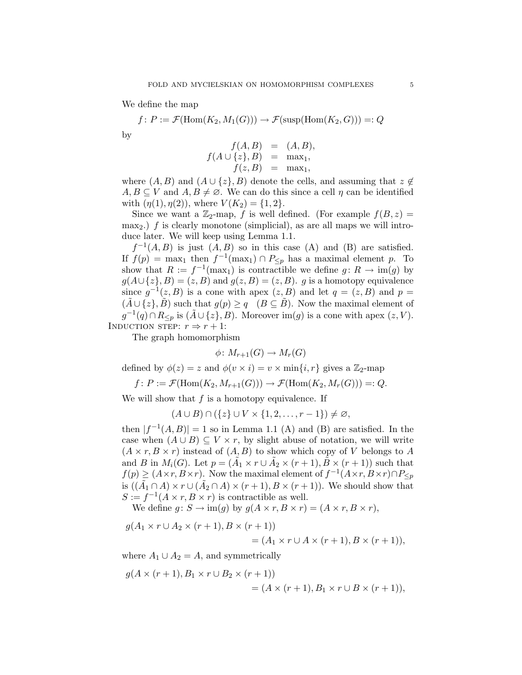We define the map

$$
f \colon P := \mathcal{F}(\text{Hom}(K_2, M_1(G))) \to \mathcal{F}(\text{susp}(\text{Hom}(K_2, G))) =: Q
$$
 by

$$
f(A, B) = (A, B),
$$
  
\n
$$
f(A \cup \{z\}, B) = \max_{1},
$$
  
\n
$$
f(z, B) = \max_{1},
$$

where  $(A, B)$  and  $(A \cup \{z\}, B)$  denote the cells, and assuming that  $z \notin$  $A, B \subseteq V$  and  $A, B \neq \emptyset$ . We can do this since a cell  $\eta$  can be identified with  $(\eta(1), \eta(2))$ , where  $V(K_2) = \{1, 2\}.$ 

Since we want a  $\mathbb{Z}_2$ -map, f is well defined. (For example  $f(B, z) =$ max<sub>2</sub>.) f is clearly monotone (simplicial), as are all maps we will introduce later. We will keep using Lemma 1.1.

 $f^{-1}(A, B)$  is just  $(A, B)$  so in this case  $(A)$  and  $(B)$  are satisfied. If  $f(p) = \max_1$  then  $f^{-1}(\max_1) \cap P_{\leq p}$  has a maximal element p. To show that  $R := f^{-1}(\max_1)$  is contractible we define  $g: R \to \text{im}(g)$  by  $g(A \cup \{z\}, B) = (z, B)$  and  $g(z, B) = (z, B)$ . g is a homotopy equivalence since  $g^{-1}(z, B)$  is a cone with apex  $(z, B)$  and let  $q = (z, B)$  and  $p = z$  $(A \cup \{z\}, B)$  such that  $g(p) \geq q \quad (B \subseteq B)$ . Now the maximal element of  $g^{-1}(q) \cap R_{\leq p}$  is  $(\tilde{A} \cup \{z\}, B)$ . Moreover  $\text{im}(g)$  is a cone with apex  $(z, V)$ . INDUCTION STEP:  $r \Rightarrow r + 1$ :

The graph homomorphism

$$
\phi\colon M_{r+1}(G)\to M_r(G)
$$

defined by  $\phi(z) = z$  and  $\phi(v \times i) = v \times \min\{i, r\}$  gives a  $\mathbb{Z}_2$ -map

$$
f \colon P := \mathcal{F}(\text{Hom}(K_2, M_{r+1}(G))) \to \mathcal{F}(\text{Hom}(K_2, M_r(G))) =: Q.
$$

We will show that  $f$  is a homotopy equivalence. If

 $(A \cup B) \cap (\{z\} \cup V \times \{1, 2, \ldots, r-1\}) \neq \emptyset,$ 

then  $|f^{-1}(A, B)| = 1$  so in Lemma 1.1 (A) and (B) are satisfied. In the case when  $(A \cup B) \subseteq V \times r$ , by slight abuse of notation, we will write  $(A \times r, B \times r)$  instead of  $(A, B)$  to show which copy of V belongs to A and B in  $M_i(G)$ . Let  $p = (\tilde{A}_1 \times r \cup \tilde{A}_2 \times (r+1), \tilde{B} \times (r+1))$  such that  $f(p) \geq (A \times r, B \times r)$ . Now the maximal element of  $f^{-1}(A \times r, B \times r) \cap P_{\leq p}$ is  $((\tilde{A}_1 \cap A) \times r \cup (\tilde{A}_2 \cap A) \times (r+1), B \times (r+1)).$  We should show that  $S := f^{-1}(A \times r, B \times r)$  is contractible as well.

We define  $g: S \to \text{im}(g)$  by  $g(A \times r, B \times r) = (A \times r, B \times r),$ 

$$
g(A_1 \times r \cup A_2 \times (r+1), B \times (r+1))
$$
  
=  $(A_1 \times r \cup A \times (r+1), B \times (r+1)),$ 

where  $A_1 \cup A_2 = A$ , and symmetrically

$$
g(A \times (r+1), B_1 \times r \cup B_2 \times (r+1))
$$
  
=  $(A \times (r+1), B_1 \times r \cup B \times (r+1)),$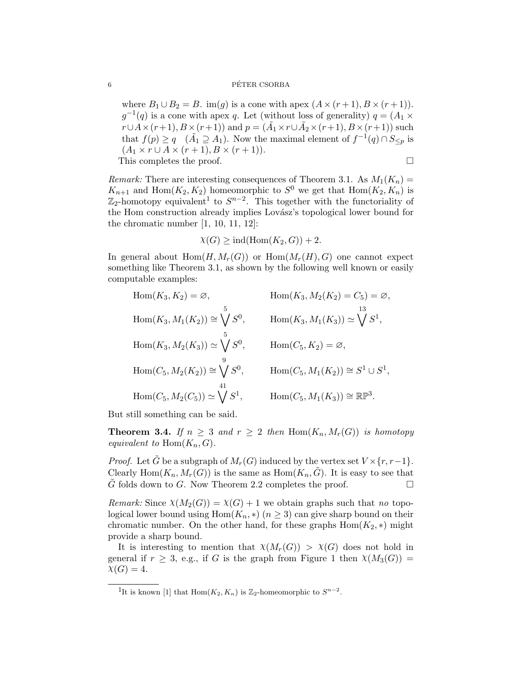## 6 PÉTER CSORBA

where  $B_1 \cup B_2 = B$ . im(g) is a cone with apex  $(A \times (r+1), B \times (r+1))$ .  $g^{-1}(q)$  is a cone with apex q. Let (without loss of generality)  $q = (A_1 \times$  $r \cup A \times (r+1), B \times (r+1)$  and  $p = (\tilde{A}_1 \times r \cup \tilde{A}_2 \times (r+1), B \times (r+1))$  such that  $f(p) \ge q$  ( $\tilde{A}_1 \supseteq A_1$ ). Now the maximal element of  $f^{-1}(q) \cap S_{\le p}$  is  $(A_1 \times r \cup A \times (r+1), B \times (r+1)).$ This completes the proof.

*Remark:* There are interesting consequences of Theorem 3.1. As  $M_1(K_n) =$  $K_{n+1}$  and Hom $(K_2, K_2)$  homeomorphic to  $S^0$  we get that  $\text{Hom}(K_2, K_n)$  is  $\mathbb{Z}_2$ -homotopy equivalent<sup>1</sup> to  $S^{n-2}$ . This together with the functoriality of the Hom construction already implies Lovász's topological lower bound for the chromatic number [1, 10, 11, 12]:

$$
\chi(G) \ge \text{ind}(\text{Hom}(K_2, G)) + 2.
$$

In general about  $Hom(H, M_r(G))$  or  $Hom(M_r(H), G)$  one cannot expect something like Theorem 3.1, as shown by the following well known or easily computable examples:

Hom(
$$
K_3, K_2
$$
) =  $\emptyset$ ,  $\text{Hom}(K_3, M_2(K_2) = C_5) = \emptyset$ ,  
\nHom( $K_3, M_1(K_2)$ )  $\cong \bigvee_{0}^{5} S^0$ ,  $\text{Hom}(K_3, M_1(K_3)) \cong \bigvee_{0}^{13} S^1$ ,  
\nHom( $K_3, M_2(K_3)$ )  $\cong \bigvee_{0}^{5} S^0$ ,  $\text{Hom}(C_5, K_2) = \emptyset$ ,  
\nHom( $C_5, M_2(K_2)$ )  $\cong \bigvee_{1}^{9} S^0$ ,  $\text{Hom}(C_5, M_1(K_2)) \cong S^1 \cup S^1$ ,  
\nHom( $C_5, M_2(C_5)$ )  $\cong \bigvee_{1}^{41} S^1$ ,  $\text{Hom}(C_5, M_1(K_3)) \cong \mathbb{RP}^3$ .

But still something can be said.

**Theorem 3.4.** If  $n \geq 3$  and  $r \geq 2$  then  $\text{Hom}(K_n, M_r(G))$  is homotopy equivalent to  $\text{Hom}(K_n, G)$ .

*Proof.* Let G be a subgraph of  $M_r(G)$  induced by the vertex set  $V \times \{r, r-1\}$ . Clearly Hom $(K_n, M_r(G))$  is the same as  $Hom(K_n, \tilde{G})$ . It is easy to see that G folds down to G. Now Theorem 2.2 completes the proof.  $\Box$ 

*Remark:* Since  $\chi(M_2(G)) = \chi(G) + 1$  we obtain graphs such that no topological lower bound using  $Hom(K_n, *)$   $(n \geq 3)$  can give sharp bound on their chromatic number. On the other hand, for these graphs  $Hom(K_2, *)$  might provide a sharp bound.

It is interesting to mention that  $\chi(M_r(G)) > \chi(G)$  does not hold in general if  $r \geq 3$ , e.g., if G is the graph from Figure 1 then  $\chi(M_3(G))$  =  $\chi(G) = 4.$ 

<sup>&</sup>lt;sup>1</sup>It is known [1] that Hom $(K_2, K_n)$  is  $\mathbb{Z}_2$ -homeomorphic to  $S^{n-2}$ .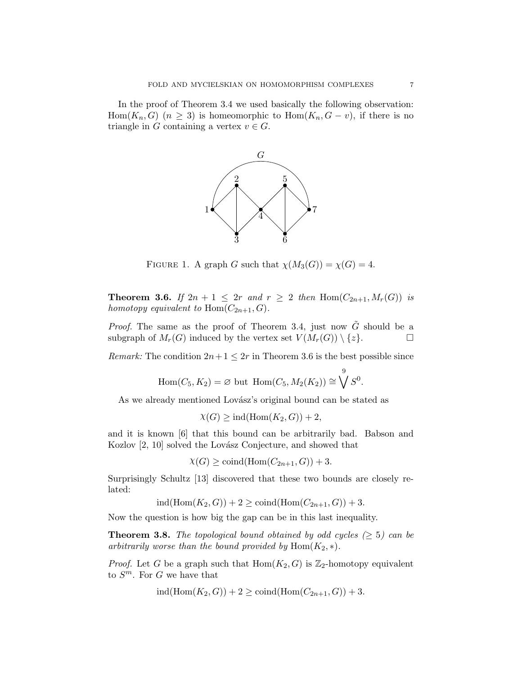In the proof of Theorem 3.4 we used basically the following observation: Hom $(K_n, G)$   $(n \geq 3)$  is homeomorphic to Hom $(K_n, G - v)$ , if there is no triangle in G containing a vertex  $v \in G$ .



FIGURE 1. A graph G such that  $\chi(M_3(G)) = \chi(G) = 4$ .

**Theorem 3.6.** If  $2n + 1 \leq 2r$  and  $r \geq 2$  then  $\text{Hom}(C_{2n+1}, M_r(G))$  is homotopy equivalent to  $\text{Hom}(C_{2n+1}, G)$ .

*Proof.* The same as the proof of Theorem 3.4, just now  $\tilde{G}$  should be a subgraph of  $M_r(G)$  induced by the vertex set  $V(M_r(G)) \setminus \{z\}.$ 

*Remark:* The condition  $2n+1 \leq 2r$  in Theorem 3.6 is the best possible since

$$
\operatorname{Hom}(C_5, K_2) = \varnothing \text{ but } \operatorname{Hom}(C_5, M_2(K_2)) \cong \bigvee^9 S^0.
$$

As we already mentioned Lovász's original bound can be stated as

$$
\chi(G) \ge \text{ind}(\text{Hom}(K_2, G)) + 2,
$$

and it is known [6] that this bound can be arbitrarily bad. Babson and Kozlov  $[2, 10]$  solved the Lovász Conjecture, and showed that

 $\chi(G) \geq \text{coind}(\text{Hom}(C_{2n+1}, G)) + 3.$ 

Surprisingly Schultz [13] discovered that these two bounds are closely related:

 $ind(Hom(K_2, G)) + 2 \geq col(d(Hom(C_{2n+1}, G)) + 3.$ 

Now the question is how big the gap can be in this last inequality.

**Theorem 3.8.** The topological bound obtained by odd cycles  $(\geq 5)$  can be arbitrarily worse than the bound provided by  $\text{Hom}(K_2, *)$ .

*Proof.* Let G be a graph such that  $Hom(K_2, G)$  is  $\mathbb{Z}_2$ -homotopy equivalent to  $S^m$ . For G we have that

$$
ind(Hom(K2, G)) + 2 \geq coil(Hom(C2n+1, G)) + 3.
$$